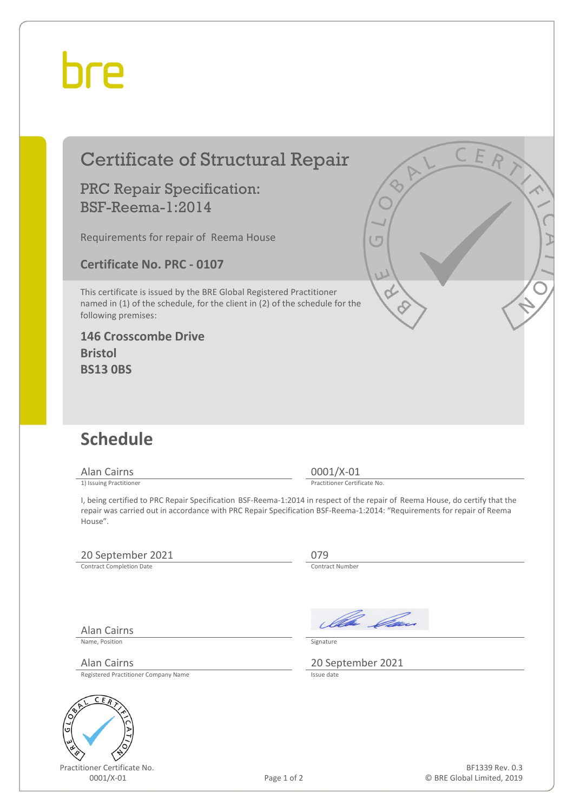## hre

### Certificate of Structural Repair

#### PRC Repair Specification: BSF-Reema-1:2014

Requirements for repair of Reema House

**Certificate No. PRC - 0107**

This certificate is issued by the BRE Global Registered Practitioner named in (1) of the schedule, for the client in (2) of the schedule for the following premises:

**146 Crosscombe Drive Bristol BS13 0BS**



Alan Cairns 0001/X-01<br>
1) Issuing Practitioner<br>
1) Issuing Practitioner

Practitioner Certificate No.

I, being certified to PRC Repair Specification BSF-Reema-1:2014 in respect of the repair of Reema House, do certify that the repair was carried out in accordance with PRC Repair Specification BSF-Reema-1:2014: "Requirements for repair of Reema House".

#### 20 September 2021 079<br>
Contract Completion Date Contract Number

Contract Completion Date

Alan Cairns

Name, Position Signature

Registered Practitioner Company Name



Practitioner Certificate No.

Ala Can

Alan Cairns 20 September 2021